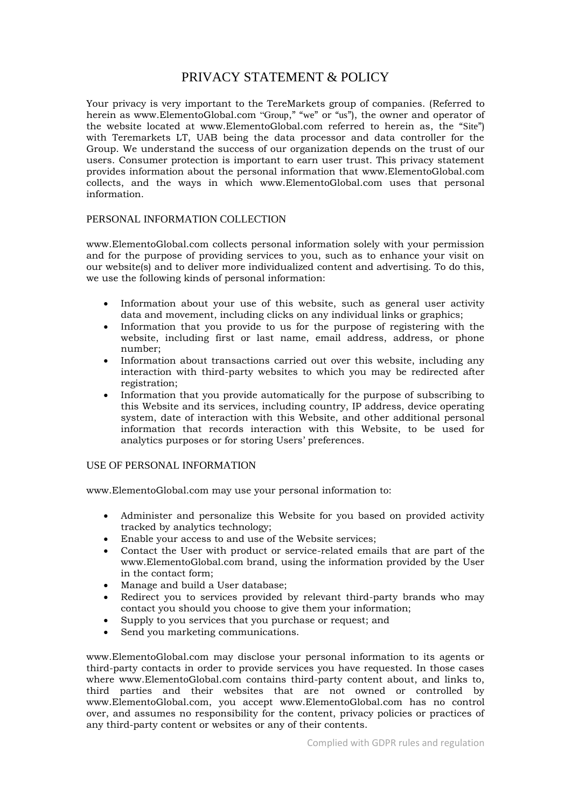# PRIVACY STATEMENT & POLICY

Your privacy is very important to the TereMarkets group of companies. (Referred to herein as www.ElementoGlobal.com "Group," "we" or "us"), the owner and operator of the website located at www.ElementoGlobal.com referred to herein as, the "Site") with Teremarkets LT, UAB being the data processor and data controller for the Group. We understand the success of our organization depends on the trust of our users. Consumer protection is important to earn user trust. This privacy statement provides information about the personal information that www.ElementoGlobal.com collects, and the ways in which www.ElementoGlobal.com uses that personal information.

# PERSONAL INFORMATION COLLECTION

www.ElementoGlobal.com collects personal information solely with your permission and for the purpose of providing services to you, such as to enhance your visit on our website(s) and to deliver more individualized content and advertising. To do this, we use the following kinds of personal information:

- Information about your use of this website, such as general user activity data and movement, including clicks on any individual links or graphics;
- nformation that you provide to us for the purpose of registering with the website, including first or last name, email address, address, or phone number;
- Information about transactions carried out over this website, including any interaction with third-party websites to which you may be redirected after registration;
- Information that you provide automatically for the purpose of subscribing to this Website and its services, including country, IP address, device operating system, date of interaction with this Website, and other additional personal information that records interaction with this Website, to be used for analytics purposes or for storing Users' preferences.

#### USE OF PERSONAL INFORMATION

www.ElementoGlobal.com may use your personal information to:

- Administer and personalize this Website for you based on provided activity tracked by analytics technology;
- Enable your access to and use of the Website services;
- Contact the User with product or service-related emails that are part of the www.ElementoGlobal.com brand, using the information provided by the User in the contact form;
- Manage and build a User database;
- Redirect you to services provided by relevant third-party brands who may contact you should you choose to give them your information;
- Supply to you services that you purchase or request; and
- Send you marketing communications.

www.ElementoGlobal.com may disclose your personal information to its agents or third-party contacts in order to provide services you have requested. In those cases where www.ElementoGlobal.com contains third-party content about, and links to, third parties and their websites that are not owned or controlled by www.ElementoGlobal.com, you accept www.ElementoGlobal.com has no control over, and assumes no responsibility for the content, privacy policies or practices of any third-party content or websites or any of their contents.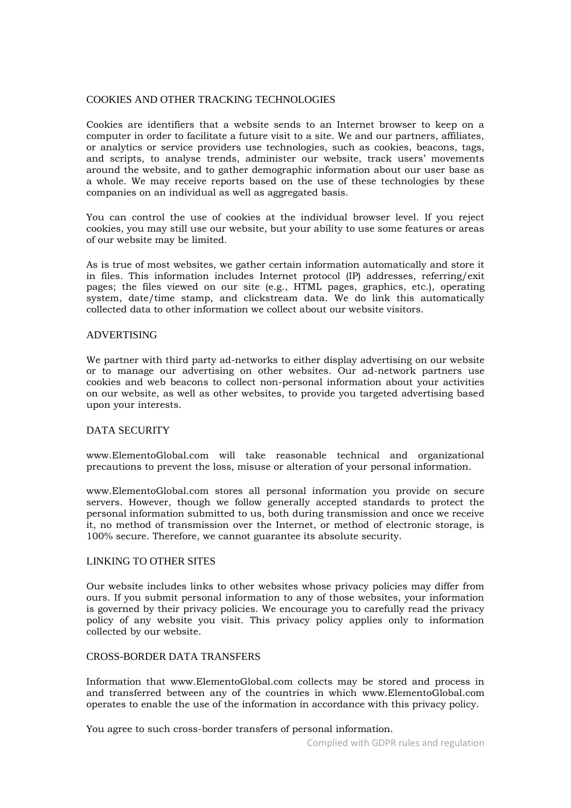# COOKIES AND OTHER TRACKING TECHNOLOGIES

Cookies are identifiers that a website sends to an Internet browser to keep on a computer in order to facilitate a future visit to a site. We and our partners, affiliates, or analytics or service providers use technologies, such as cookies, beacons, tags, and scripts, to analyse trends, administer our website, track users' movements around the website, and to gather demographic information about our user base as a whole. We may receive reports based on the use of these technologies by these companies on an individual as well as aggregated basis.

You can control the use of cookies at the individual browser level. If you reject cookies, you may still use our website, but your ability to use some features or areas of our website may be limited.

As is true of most websites, we gather certain information automatically and store it in files. This information includes Internet protocol (IP) addresses, referring/exit pages; the files viewed on our site (e.g., HTML pages, graphics, etc.), operating system, date/time stamp, and clickstream data. We do link this automatically collected data to other information we collect about our website visitors.

### ADVERTISING

We partner with third party ad-networks to either display advertising on our website or to manage our advertising on other websites. Our ad-network partners use cookies and web beacons to collect non-personal information about your activities on our website, as well as other websites, to provide you targeted advertising based upon your interests.

# DATA SECURITY

www.ElementoGlobal.com will take reasonable technical and organizational precautions to prevent the loss, misuse or alteration of your personal information.

www.ElementoGlobal.com stores all personal information you provide on secure servers. However, though we follow generally accepted standards to protect the personal information submitted to us, both during transmission and once we receive it, no method of transmission over the Internet, or method of electronic storage, is 100% secure. Therefore, we cannot guarantee its absolute security.

# LINKING TO OTHER SITES

Our website includes links to other websites whose privacy policies may differ from ours. If you submit personal information to any of those websites, your information is governed by their privacy policies. We encourage you to carefully read the privacy policy of any website you visit. This privacy policy applies only to information collected by our website.

### CROSS-BORDER DATA TRANSFERS

Information that www.ElementoGlobal.com collects may be stored and process in and transferred between any of the countries in which www.ElementoGlobal.com operates to enable the use of the information in accordance with this privacy policy.

You agree to such cross-border transfers of personal information.